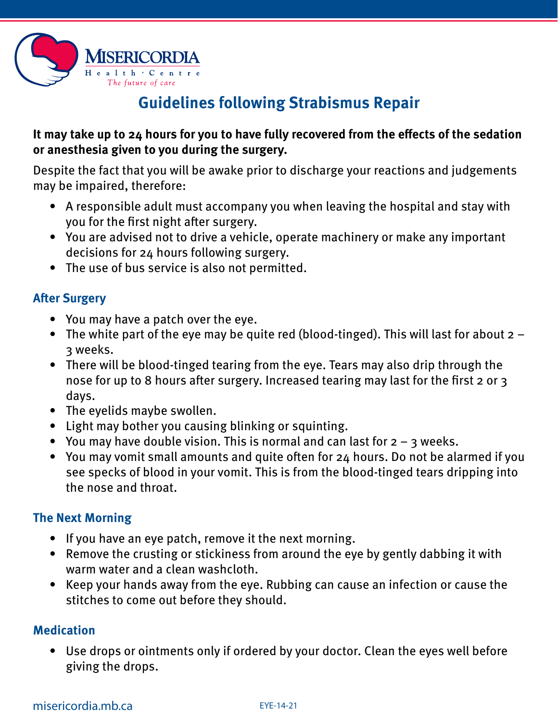

# **Guidelines following Strabismus Repair**

### **It may take up to 24 hours for you to have fully recovered from the effects of the sedation or anesthesia given to you during the surgery.**

Despite the fact that you will be awake prior to discharge your reactions and judgements may be impaired, therefore:

- A responsible adult must accompany you when leaving the hospital and stay with you for the first night after surgery.
- You are advised not to drive a vehicle, operate machinery or make any important decisions for 24 hours following surgery.
- The use of bus service is also not permitted.

### **After Surgery**

- You may have a patch over the eye.
- The white part of the eye may be quite red (blood-tinged). This will last for about 2 3 weeks.
- There will be blood-tinged tearing from the eye. Tears may also drip through the nose for up to 8 hours after surgery. Increased tearing may last for the first 2 or 3 days.
- The eyelids maybe swollen.
- Light may bother you causing blinking or squinting.
- You may have double vision. This is normal and can last for  $2 3$  weeks.
- You may vomit small amounts and quite often for 24 hours. Do not be alarmed if you see specks of blood in your vomit. This is from the blood-tinged tears dripping into the nose and throat.

## **The Next Morning**

- If you have an eye patch, remove it the next morning.
- Remove the crusting or stickiness from around the eye by gently dabbing it with warm water and a clean washcloth.
- Keep your hands away from the eye. Rubbing can cause an infection or cause the stitches to come out before they should.

## **Medication**

• Use drops or ointments only if ordered by your doctor. Clean the eyes well before giving the drops.